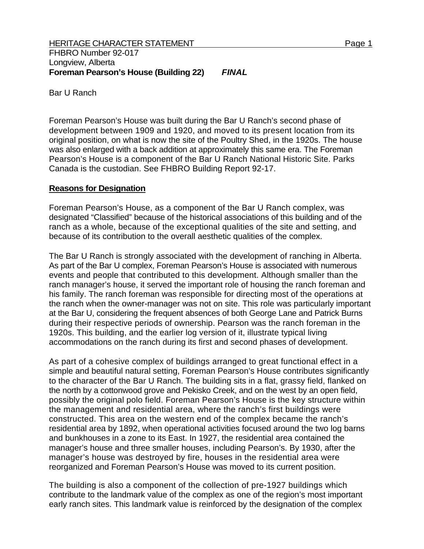Bar U Ranch

Foreman Pearson's House was built during the Bar U Ranch's second phase of development between 1909 and 1920, and moved to its present location from its original position, on what is now the site of the Poultry Shed, in the 1920s. The house was also enlarged with a back addition at approximately this same era. The Foreman Pearson's House is a component of the Bar U Ranch National Historic Site. Parks Canada is the custodian. See FHBRO Building Report 92-17.

## **Reasons for Designation**

Foreman Pearson's House, as a component of the Bar U Ranch complex, was designated "Classified" because of the historical associations of this building and of the ranch as a whole, because of the exceptional qualities of the site and setting, and because of its contribution to the overall aesthetic qualities of the complex.

The Bar U Ranch is strongly associated with the development of ranching in Alberta. As part of the Bar U complex, Foreman Pearson's House is associated with numerous events and people that contributed to this development. Although smaller than the ranch manager's house, it served the important role of housing the ranch foreman and his family. The ranch foreman was responsible for directing most of the operations at the ranch when the owner-manager was not on site. This role was particularly important at the Bar U, considering the frequent absences of both George Lane and Patrick Burns during their respective periods of ownership. Pearson was the ranch foreman in the 1920s. This building, and the earlier log version of it, illustrate typical living accommodations on the ranch during its first and second phases of development.

As part of a cohesive complex of buildings arranged to great functional effect in a simple and beautiful natural setting, Foreman Pearson's House contributes significantly to the character of the Bar U Ranch. The building sits in a flat, grassy field, flanked on the north by a cottonwood grove and Pekisko Creek, and on the west by an open field, possibly the original polo field. Foreman Pearson's House is the key structure within the management and residential area, where the ranch's first buildings were constructed. This area on the western end of the complex became the ranch's residential area by 1892, when operational activities focused around the two log barns and bunkhouses in a zone to its East. In 1927, the residential area contained the manager's house and three smaller houses, including Pearson's. By 1930, after the manager's house was destroyed by fire, houses in the residential area were reorganized and Foreman Pearson's House was moved to its current position.

The building is also a component of the collection of pre-1927 buildings which contribute to the landmark value of the complex as one of the region's most important early ranch sites. This landmark value is reinforced by the designation of the complex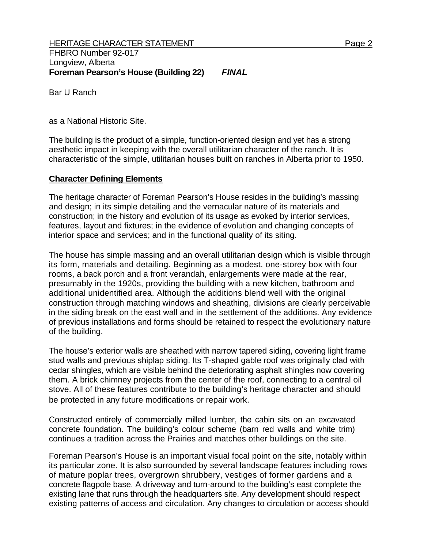Bar U Ranch

as a National Historic Site.

The building is the product of a simple, function-oriented design and yet has a strong aesthetic impact in keeping with the overall utilitarian character of the ranch. It is characteristic of the simple, utilitarian houses built on ranches in Alberta prior to 1950.

## **Character Defining Elements**

The heritage character of Foreman Pearson's House resides in the building's massing and design; in its simple detailing and the vernacular nature of its materials and construction; in the history and evolution of its usage as evoked by interior services, features, layout and fixtures; in the evidence of evolution and changing concepts of interior space and services; and in the functional quality of its siting.

The house has simple massing and an overall utilitarian design which is visible through its form, materials and detailing. Beginning as a modest, one-storey box with four rooms, a back porch and a front verandah, enlargements were made at the rear, presumably in the 1920s, providing the building with a new kitchen, bathroom and additional unidentified area. Although the additions blend well with the original construction through matching windows and sheathing, divisions are clearly perceivable in the siding break on the east wall and in the settlement of the additions. Any evidence of previous installations and forms should be retained to respect the evolutionary nature of the building.

The house's exterior walls are sheathed with narrow tapered siding, covering light frame stud walls and previous shiplap siding. Its T-shaped gable roof was originally clad with cedar shingles, which are visible behind the deteriorating asphalt shingles now covering them. A brick chimney projects from the center of the roof, connecting to a central oil stove. All of these features contribute to the building's heritage character and should be protected in any future modifications or repair work.

Constructed entirely of commercially milled lumber, the cabin sits on an excavated concrete foundation. The building's colour scheme (barn red walls and white trim) continues a tradition across the Prairies and matches other buildings on the site.

Foreman Pearson's House is an important visual focal point on the site, notably within its particular zone. It is also surrounded by several landscape features including rows of mature poplar trees, overgrown shrubbery, vestiges of former gardens and a concrete flagpole base. A driveway and turn-around to the building's east complete the existing lane that runs through the headquarters site. Any development should respect existing patterns of access and circulation. Any changes to circulation or access should